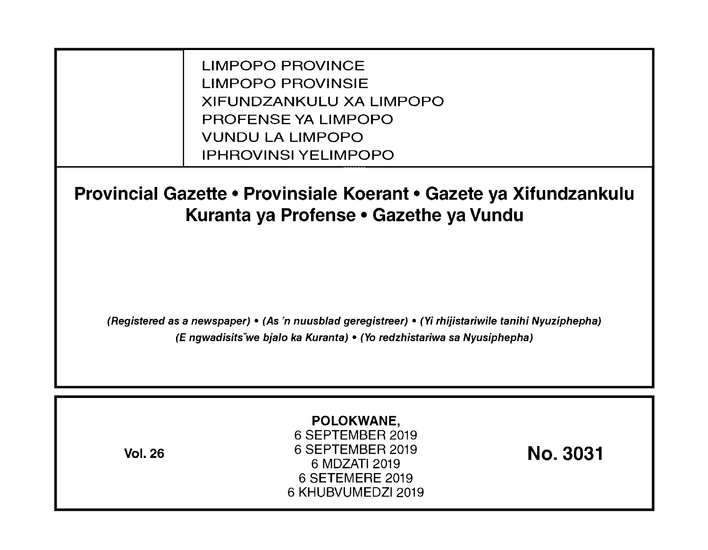LIMPOPO PROVINCE LIMPOPO PROVINSIE XIFUNDZANKULU XA LIMPOPO PROFENSE YA LIMPOPO VUNDU LA LIMPOPO IPHROVINSI YELIMPOPO

**Provincial Gazette • Provinsiale Koerant • Gazete ya Xifundzankulu Kuranta ya Profense • Gazethe ya Vundu** 

(Registered as a newspaper) • (As 'n nuusblad geregistreer) • (Yi rhijistariwile tanihi Nyuziphepha) (E ngwadisits we bjalo ka Kuranta) • (Yo redzhistariwa sa Nyusiphepha)

| POLOKWANE,<br>6 SEPTEMBER 2019<br>6 SEPTEMBER 2019<br><b>Vol. 26</b><br>6 MDZATI 2019<br>6 SETEMERE 2019<br>6 KHUBVUMEDZI 2019 | <b>No. 3031</b> |
|--------------------------------------------------------------------------------------------------------------------------------|-----------------|
|--------------------------------------------------------------------------------------------------------------------------------|-----------------|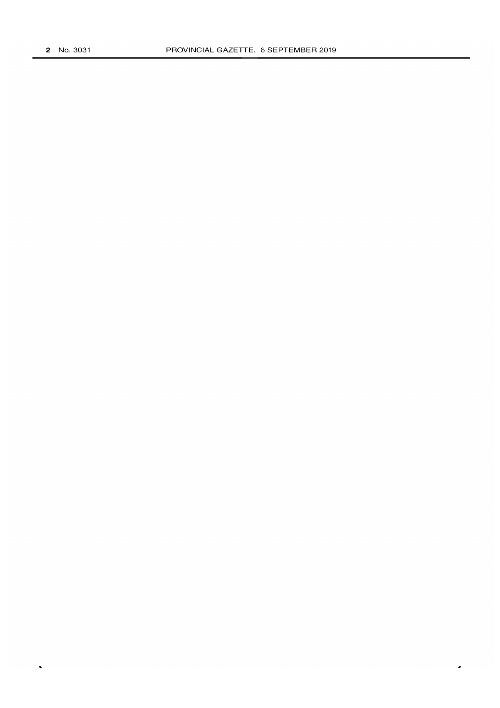$\hat{\mathbf{z}}$ 

 $\pmb{s}$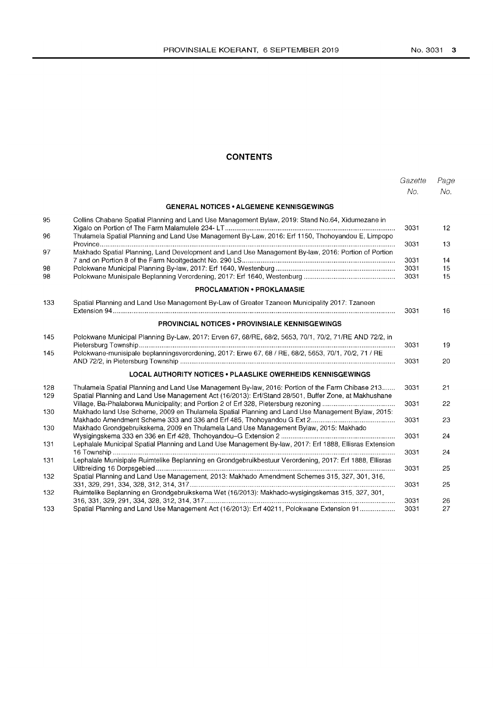### **CONTENTS**

|            |                                                                                                                                                                                                          | Gazette<br>Page |     |
|------------|----------------------------------------------------------------------------------------------------------------------------------------------------------------------------------------------------------|-----------------|-----|
|            |                                                                                                                                                                                                          | No.             | No. |
|            | <b>GENERAL NOTICES • ALGEMENE KENNISGEWINGS</b>                                                                                                                                                          |                 |     |
| 95         | Collins Chabane Spatial Planning and Land Use Management Bylaw, 2019: Stand No.64, Xidumezane in                                                                                                         | 3031            | 12  |
| 96         | Thulamela Spatial Planning and Land Use Management By-Law, 2016: Erf 1150, Thohoyandou E, Limpopo                                                                                                        | 3031            | 13  |
| 97         | Makhado Spatial Planning, Land Development and Land Use Management By-law, 2016: Portion of Portion                                                                                                      | 3031            | 14  |
| 98         |                                                                                                                                                                                                          | 3031            | 15  |
| 98         |                                                                                                                                                                                                          | 3031            | 15  |
|            | <b>PROCLAMATION • PROKLAMASIE</b>                                                                                                                                                                        |                 |     |
| 133        | Spatial Planning and Land Use Management By-Law of Greater Tzaneen Municipality 2017: Tzaneen                                                                                                            |                 |     |
|            |                                                                                                                                                                                                          | 3031            | 16  |
|            | <b>PROVINCIAL NOTICES • PROVINSIALE KENNISGEWINGS</b>                                                                                                                                                    |                 |     |
| 145        | Polokwane Municipal Planning By-Law, 2017: Erven 67, 68/RE, 68/2, 5653, 70/1, 70/2, 71/RE AND 72/2, in                                                                                                   | 3031            | 19  |
| 145        | Polokwane-munisipale beplanningsverordening, 2017: Erwe 67, 68 / RE, 68/2, 5653, 70/1, 70/2, 71 / RE                                                                                                     | 3031            | 20  |
|            | LOCAL AUTHORITY NOTICES . PLAASLIKE OWERHEIDS KENNISGEWINGS                                                                                                                                              |                 |     |
| 128<br>129 | Thulamela Spatial Planning and Land Use Management By-law, 2016: Portion of the Farm Chibase 213<br>Spatial Planning and Land Use Management Act (16/2013): Erf/Stand 28/501, Buffer Zone, at Makhushane | 3031            | 21  |
| 130        | Makhado land Use Scheme, 2009 en Thulamela Spatial Planning and Land Use Management Bylaw, 2015:                                                                                                         | 3031            | 22  |
| 130        |                                                                                                                                                                                                          | 3031            | 23  |
|            | Makhado Grondgebruikskema, 2009 en Thulamela Land Use Management Bylaw, 2015: Makhado                                                                                                                    | 3031            | 24  |
| 131        | Lephalale Municipal Spatial Planning and Land Use Management By-law, 2017: Erf 1888, Ellisras Extension                                                                                                  | 3031            | 24  |
| 131        | Lephalale Munisipale Ruimtelike Beplanning en Grondgebruikbestuur Verordening, 2017: Erf 1888, Ellisras                                                                                                  | 3031            | 25  |
| 132        | Spatial Planning and Land Use Management, 2013: Makhado Amendment Schemes 315, 327, 301, 316,                                                                                                            | 3031            | 25  |
| 132        | Ruimtelike Beplanning en Grondgebruikskema Wet (16/2013): Makhado-wysigingskemas 315, 327, 301,                                                                                                          | 3031            | 26  |
| 133        | Spatial Planning and Land Use Management Act (16/2013): Erf 40211, Polokwane Extension 91                                                                                                                | 3031            | 27  |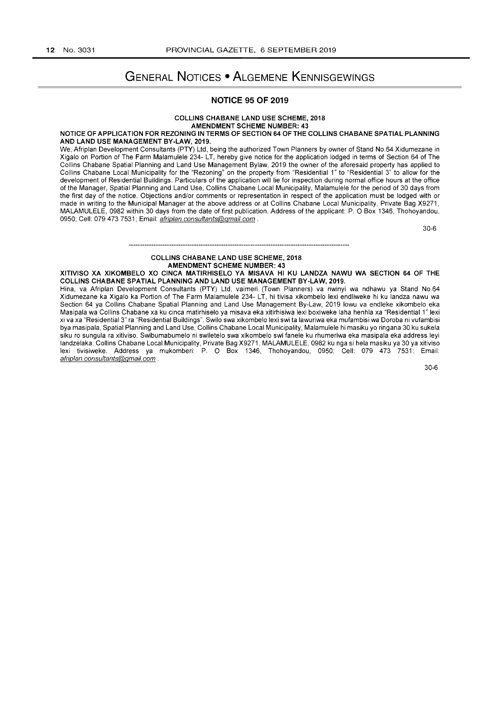# GENERAL NOTICES • ALGEMENE KENNISGEWINGS

### NOTICE 95 OF 2019

#### COLLINS CHABANE LAND USE SCHEME, 2018 AMENDMENT SCHEME NUMBER: 43

#### NOTICE OF APPLICATION FOR REZONING IN TERMS OF SECTION 64 OF THE COLLINS CHABANE SPATIAL PLANNING AND LAND USE MANAGEMENT BY-LAW, 2019.

We, Afriplan Development Consultants (PTY) Ltd, being the authorized Town Planners by owner of Stand NO.64 Xidumezane in Xigalo on Portion of The Farm Malamulele 234- LT, hereby give notice for the application lodged in terms of Section 64 of The Collins Chabane Spatial Planning and Land Use Management Bylaw, 2019 the owner of the aforesaid property has applied to Collins Chabane Local Municipality for the "Rezoning" on the property from "Residential 1" to "Residential 3" to allow for the development of Residential Buildings. Particulars of the application will lie for inspection during normal office hours at the office of the Manager, Spatial Planning and Land Use, Collins Chabane Local Municipality, Malamulele for the period of 30 days from the first day of the notice. Objections and/or comments or representation in respect of the application must be lodged with or made in writing to the Municipal Manager at the above address or at Collins Chabane Local Municipality, Private Bag X9271 , MALAMULELE, 0982 within 30 days from the date of first publication. Address of the applicant: P. 0 Box 1346, Thohoyandou, 0950; Cell: 079 473 7531; Email: afriplan.consultants@gmail.com.

30-6

### COLLINS CHABANE LAND USE SCHEME, 2018 AMENDMENT SCHEME NUMBER: 43

#### XITIVISO XA XIKOMBELO XO CINCA MATIRHISELO YA MISAVA HI KU LANDZA NAWU WA SECTION 64 OF THE COLLINS CHABANE SPATIAL PLANNING AND LAND USE MANAGEMENT BY-LAW, 2019.

Hina, va Afriplan Development Consultants (PTY) Ltd, vaimeri (Town Planners) va nwinyi wa ndhawu ya Stand NO.64 Xidumezane ka Xigalo ka Portion of The Farm Malamulele 234- LT, hi tivisa xikombelo lexi endliweke hi ku landza nawu wa Section 64 ya Collins Chabane Spatial Planning and Land Use Management By-Law, 2019 lowu va endleke xikombelo eka Masipala wa Collins Chabane xa ku cinca matirhiselo ya misava eka xitirhisiwa lexi boxiweke laha henhla xa "Residential 1" lexi xi va xa "Residential 3" ra "Residential Buildings". Swilo swa xikombelo lexi swi ta lawuriwa eka mufambisi wa Doroba ni vufambisi bya masipala, Spatial Planning and Land Use, Collins Chabane Local Municipality, Malamulele hi masiku yo ringana 30 ku sukela siku ro sungula ra xitiviso. Swibumabumelo ni swiletelo swa xikombelo swi fanele ku rhumeriwa eka masipala eka address leyi landzelaka: Collins Chabane Local Municipality, Private Bag X9271, MALAMULELE, 0982 ku nga si hela masiku ya 30 ya xitiviso lexi tivisiweke. Address ya mukomberi: P. 0 Box 1346, Thohoyandou, 0950; Cell: 079 473 7531; Email: afriplan.consultants@qmail.com .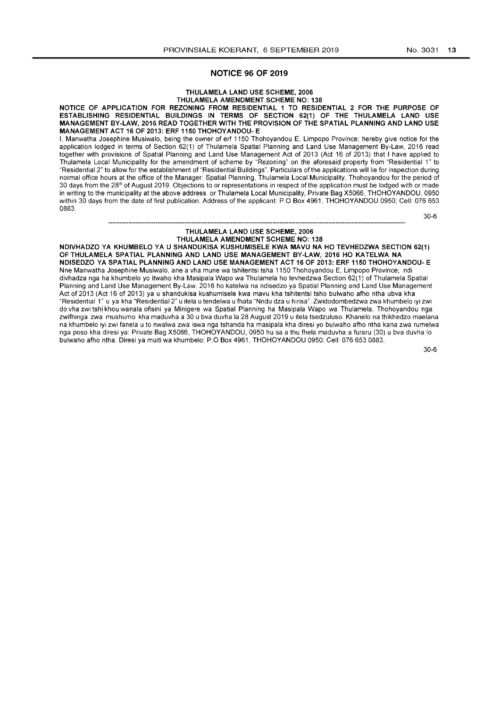#### **NOTICE 96 OF 2019**

### **THULAMELA LAND USE SCHEME, 2006**

**THULAMELA AMENDMENT SCHEME NO: 138** 

**NOTICE OF APPLICATION FOR REZONING FROM RESIDENTIAL 1 TO RESIDENTIAL 2 FOR THE PURPOSE OF ESTABLISHING RESIDENTIAL BUILDINGS IN TERMS OF SECTION 62(1) OF THE THULAMELA LAND USE MANAGEMENT BY-LAW, 2016 READ TOGETHER WITH THE PROVISION OF THE SPATIAL PLANNING AND LAND USE MANAGEMENT ACT 16 OF 2013: ERF 1150 THOHOYANDOU- E** 

I, Manwatha Josephine Musiwalo, being the owner of erf 1150 Thohoyandou E, Limpopo Province; hereby give notice for the application lodged in terms of Section 62(1) of Thulamela Spatial Planning and Land Use Management By-Law, 2016 read together with provisions of Spatial Planning and Land Use Management Act of 2013 (Act 16 of 2013) that I have applied to Thulamela Local Municipality for the amendment of scheme by "Rezoning" on the aforesaid property from "Residential 1" to "Residential 2" to allow for the establishment of "Residential Buildings". Particulars of the applications will lie for inspection during normal office hours at the office of the Manager: Spatial Planning, Thulamela Local Municipality, Thohoyandou for the period of 30 days from the 28th of August 2019. Objections to or representations in respect of the application must be lodged with or made in writing to the municipality at the above address or Thulamela Local Municipality, Private Bag X5066, **THOHOYANDOU,** 0950 within 30 days from the date of first publication. Address of the applicant: P.O Box 4961, **THOHOYANDOU** 0950; Cell: 076653 0883.

30-6

#### **THULAMELA LAND USE SCHEME, 2006 THULAMELA AMENDMENT SCHEME NO: 138**

**NDIVHADZO YA KHUMBELO YA U SHANDUKISA KUSHUMISELE KWA MAVU NA HO TEVHEDZWA SECTION 62(1) OF THULAMELA SPATIAL PLANNING AND LAND USE MANAGEMENT BY-LAW, 2016 HO KATELWA NA NDISEDZO YA SPATIAL PLANNING AND LAND USE MANAGEMENT ACT 16 OF 2013: ERF 1150 THOHOYANDOU- E**  Nne Manwatha Josephine Musiwalo, ane a vha mune wa tshitentsi tsha 1150 Thohoyandou E, Limpopo Province; ndi divhadza nga ha khumbelo yo itwaho kha Masipala Wapo wa Thulamela ho tevhedzwa Section 62(1) of Thulamela Spatial Planning and Land Use Management By-Law, 2016 ho katelwa na ndisedzo ya Spatial Planning and Land Use Management Act of 2013 (Act 16 of 2013) ya u shandukisa kushumisele kwa mavu kha tshitentsi tsho bulwaho afho ntha ubva kha "Residential 1" u ya kha "Residential 2" u itela u tendelwa u fhata "Nndu dza u hirisa". Zwidodombedzwa zwa khumbelo iyi zwi do vha zwi tshi khou wanala ofisini ya Minigere wa Spatial Planning ha Masipala Wapo wa Thulamela, Thohoyandou nga zwifhinga zwa mushumo kha maduvha a 30 u bva duvha la 28 August 2019 u itela tsedzuluso. Khanelo na thikhedzo maelana na khumbelo iyi zwi fanela u to nwalwa zwa iswa nga tshanda ha masipala kha diresi yo bulwaho afho ntha kana zwa rumelwa nga poso kha diresi ya: Private Bag X5066, **THOHOYANDOU,** 0950 hu sa a thu fhela maduvha a furaru (30) u bva duvha 10 bulwaho afho ntha. Diresi ya muiti wa khumbelo: P.O Box 4961, **THOHOYANDOU** 0950; Cell: 0766530883.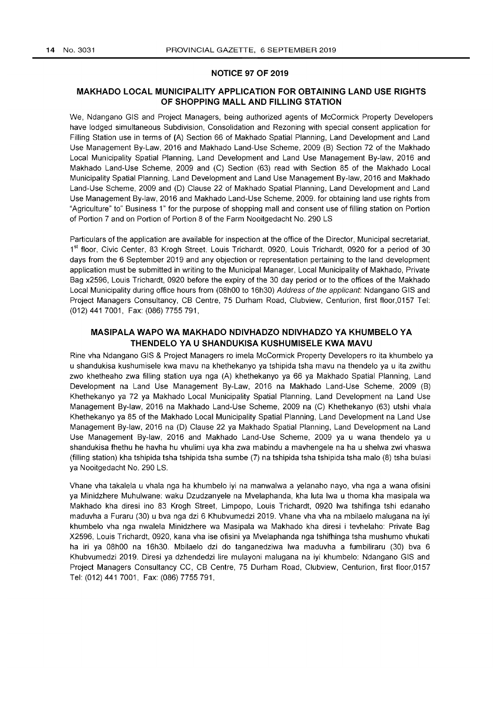#### **NOTICE 97 OF 2019**

### **MAKHADO LOCAL MUNICIPALITY APPLICATION FOR OBTAINING LAND USE RIGHTS OF SHOPPING MALL AND FILLING STATION**

We, Ndangano GIS and Project Managers, being authorized agents of McCormick Property Developers have lodged simultaneous Subdivision, Consolidation and Rezoning with special consent application for Filling Station use in terms of (A) Section 66 of Makhado Spatial Planning, Land Development and Land Use Management By-Law, 2016 and Makhado Land-Use Scheme, 2009 (B) Section 72 of the Makhado Local Municipality Spatial Planning, Land Development and Land Use Management By-law, 2016 and Makhado Land-Use Scheme, 2009 and (C) Section (63) read with Section 85 of the Makhado Local Municipality Spatial Planning, Land Development and Land Use Management By-law, 2016 and Makhado Land-Use Scheme, 2009 and (D) Clause 22 of Makhado Spatial Planning, Land Development and Land Use Management By-law, 2016 and Makhado Land-Use Scheme, 2009. for obtaining land use rights from "Agriculture" to" Business 1" for the purpose of shopping mall and consent use of filling station on Portion of Portion 7 and on Portion of Portion 8 of the Farm Nooitgedacht No. 290 LS

Particulars of the application are available for inspection at the office of the Director, Municipal secretariat, 1<sup>st</sup> floor, Civic Center, 83 Krogh Street, Louis Trichardt, 0920, Louis Trichardt, 0920 for a period of 30 days from the 6 September 2019 and any objection or representation pertaining to the land development application must be submitted in writing to the Municipal Manager, Local Municipality of Makhado, Private Bag x2596, Louis Trichardt, 0920 before the expiry of the 30 day period or to the offices of the Makhado Local Municipality during office hours from (08hOO to 16h30) Address of the applicant: Ndangano GIS and Project Managers Consultancy, CB Centre, 75 Durham Road, Clubview, Centurion, first floor,0157 Tel: (012) 4417001, Fax: (086) 7755791,

### **MASIPALA WAPO WA MAKHADO NDIVHADZO NDIVHADZO YA KHUMBELO YA THENDELO YA U SHANDUKISA KUSHUMISELE KWA MAVU**

Rine vha Ndangano GIS & Project Managers ro imela McCormick Property Developers ro ita khumbelo ya u shandukisa kushumisele kwa mavu na khethekanyo ya tshipida tsha mavu na thendelo ya u ita zwithu zwo khetheaho zwa filling station uya nga (A) khethekanyo ya 66 ya Makhado Spatial Planning, Land Development na Land Use Management By-Law, 2016 na Makhado Land-Use Scheme, 2009 (B) Khethekanyo ya 72 ya Makhado Local Municipality Spatial Planning, Land Development na Land Use Management By-law, 2016 na Makhado Land-Use Scheme, 2009 na (C) Khethekanyo (63) utshi vhala Khethekanyo ya 85 of the Makhado Local Municipality Spatial Planning, Land Development na Land Use Management By-law, 2016 na (D) Clause 22 ya Makhado Spatial Planning, Land Development na Land Use Management By-law, 2016 and Makhado Land-Use Scheme, 2009 ya u wana thendelo ya u shandukisa fhethu he havha hu vhulimi uya kha zwa mabindu a mavhengele na ha u shelwa zwi vhaswa (filling station) kha tshipida tsha tshipida tsha sumbe (7) na tshipida tsha tshipida tsha malo (8) tsha bulasi ya Nooitgedacht No. 290 LS.

Vhane vha takalela u vhala nga ha khumbelo iyi na manwalwa a yelanaho nayo, vha nga a wana ofisini ya Minidzhere Muhulwane: waku Dzudzanyele na Mvelaphanda, kha luta Iwa u thoma kha masipala wa Makhado kha diresi ino 83 Krogh Street, Limpopo, Louis Trichardt, 0920 Iwa tshifinga tshi edanaho maduvha a Furaru (30) u bva nga dzi 6 Khubvumedzi 2019. Vhane vha vha na mbilaelo malugana na iyi khumbelo vha nga nwalela Minidzhere wa Masipala wa Makhado kha diresi i tevhelaho: Private Bag X2596, Louis Trichardt, 0920, kana vha ise ofisini ya Mvelaphanda nga tshifhinga tsha mushumo vhukati ha iri ya 08hOO na 16h30. Mbilaelo dzi do tanganedziwa Iwa maduvha a fumbiliraru (30) bva 6 Khubvumedzi 2019. Diresi ya dzhendedzi lire mulayoni malugana na iyi khumbelo: Ndangano GIS and Project Managers Consultancy CC, CB Centre, 75 Durham Road, Clubview, Centurion, first floor,0157 Tel: (012) 441 7001, Fax: (086) 7755 791,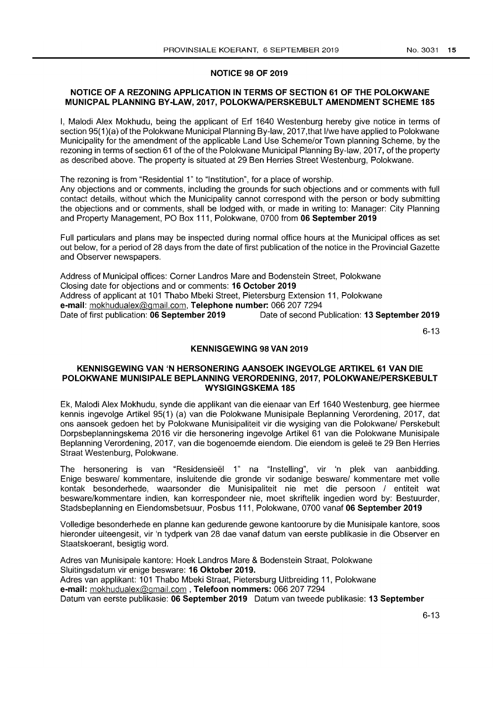### NOTICE 98 OF 2019

### NOTICE OF A REZONING APPLICATION IN TERMS OF SECTION 61 OF THE POLOKWANE MUNICPAL PLANNING BY-LAW, 2017, POLOKWA/PERSKEBULT AMENDMENT SCHEME 185

I, Malodi Alex Mokhudu, being the applicant of Erf 1640 Westenburg hereby give notice in terms of section 95(1)(a) of the Polokwane Municipal Planning By-law, 2017, that I/we have applied to Polokwane Municipality for the amendment of the applicable Land Use Scheme/or Town planning Scheme, by the rezoning in terms of section 61 of the of the Polokwane Municipal Planning By-law, 2017, of the property as described above. The property is situated at 29 Ben Herries Street Westenburg, Polokwane.

The rezoning is from "Residential 1" to "Institution", for a place of worship.

Any objections and or comments, including the grounds for such objections and or comments with full contact details, without which the Municipality cannot correspond with the person or body submitting the objections and or comments, shall be lodged with, or made in writing to: Manager: City Planning and Property Management, PO Box 111, Polokwane, 0700 from 06 September 2019

Full particulars and plans may be inspected during normal office hours at the Municipal offices as set out below, for a period of 28 days from the date of first publication of the notice in the Provincial Gazette and Observer newspapers.

Address of Municipal offices: Corner Landros Mare and Bodenstein Street, Polokwane Closing date for objections and or comments: 16 October 2019 Address of applicant at 101 Thabo Mbeki Street, Pietersburg Extension 11, Polokwane e-mail: mokhudualex@gmail.com, Telephone number: 066 207 7294 Date of first publication: 06 September 2019 Date of second Publication: 13 September 2019

6-13

### KENNISGEWING 98 VAN 2019

### KENNISGEWING VAN 'N HERSONERING AANSOEK INGEVOLGE ARTIKEL 61 VAN DIE POLOKWANE MUNISIPALE BEPLANNING VERORDENING, 2017, POLOKWANE/PERSKEBULT WYSIGINGSKEMA 185

Ek, Malodi Alex Mokhudu, synde die applikant van die eienaar van Erf 1640 Westenburg, gee hiermee kennis ingevolge Artikel 95(1) (a) van die Polokwane Munisipale Beplanning Verordening, 2017, dat ons aansoek gedoen het by Polokwane Munisipaliteit vir die wysiging van die Polokwane/ Perskebult Dorpsbeplanningskema 2016 vir die hersonering ingevolge Artikel 61 van die Polokwane Munisipale Beplanning Verordening, 2017, van die bogenoemde eiendom. Die eiendom is gelee te 29 Ben Herries Straat Westenburg, Polokwane.

The hersonering is van "Residensieel 1" na "Instelling", vir 'n plek van aanbidding. Enige besware/ kommentare, insluitende die gronde vir sodanige besware/ kommentare met volle kontak besonderhede, waarsonder die Munisipaliteit nie met die persoon I entiteit wat besware/kommentare indien, kan korrespondeer nie, moet skriftelik ingedien word by: Bestuurder, Stadsbeplanning en Eiendomsbetsuur, Posbus 111, Polokwane, 0700 vanaf 06 September 2019

Volledige besonderhede en planne kan gedurende gewone kantoorure by die Munisipale kantore, soos hieronder uiteengesit, vir 'n tydperk van 28 dae vanaf datum van eerste publikasie in die Observer en Staatskoerant, besigtig word.

Adres van Munisipale kantore: Hoek Landros Mare & Bodenstein Straat, Polokwane Sluitingsdatum vir enige besware: 16 Oktober 2019. Adres van applikant: 101 Thabo Mbeki Straat, Pietersburg Uitbreiding 11, Polokwane e-mail: mokhudualex@gmail.com, Telefoon nommers: 066 207 7294 Datum van eerste publikasie: 06 September 2019 Datum van tweede publikasie: 13 September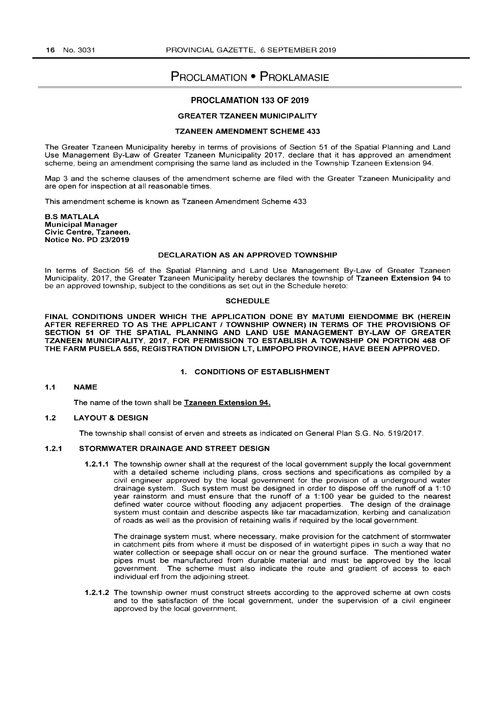## PROCLAMATION • PROKLAMASIE

### PROCLAMATION 133 OF 2019

#### GREATER TZANEEN MUNICIPALITY

#### TZANEEN AMENDMENT SCHEME 433

The Greater Tzaneen Municipality hereby in terms of provisions of Section 51 of the Spatial Planning and Land Use Management By-Law of Greater Tzaneen Municipality 2017, declare that it has approved an amendment scheme, being an amendment comprising the same land as included in the Township Tzaneen Extension 94.

Map 3 and the scheme clauses of the amendment scheme are filed with the Greater Tzaneen Municipality and are open for inspection at all reasonable times.

This amendment scheme is known as Tzaneen Amendment Scheme 433

B.S MATLALA Municipal Manager Civic Centre, Tzaneen. Notice No. PD 23/2019

#### DECLARATION AS AN APPROVED TOWNSHIP

In terms of Section 56 of the Spatial Planning and Land Use Management By-Law of Greater Tzaneen Municipality, 2017, the Greater Tzaneen Municipality hereby declares the township of Tzaneen Extension 94 to be an approved township, subject to the conditions as set out in the Schedule hereto:

### **SCHEDULE**

FINAL CONDITIONS UNDER WHICH THE APPLICATION DONE BY MATUMI EIENDOMME BK (HEREIN AFTER REFERRED TO AS THE APPLICANT / TOWNSHIP OWNER) IN TERMS OF THE PROVISIONS OF SECTION 51 OF THE SPATIAL PLANNING AND LAND USE MANAGEMENT BY-LAW OF GREATER TZANEEN MUNICIPALITY, 2017, FOR PERMISSION TO ESTABLISH A TOWNSHIP ON PORTION 468 OF THE FARM PUSELA 555, REGISTRATION DIVISION LT, LIMPOPO PROVINCE, HAVE BEEN APPROVED.

#### 1. CONDITIONS OF ESTABLISHMENT

#### 1.1 NAME

The name of the town shall be Tzaneen Extension 94.

#### 1.2 LAYOUT & DESIGN

The township shall consist of erven and streets as indicated on General Plan S.G. No. 519/2017.

#### 1.2.1 STORMWATER DRAINAGE AND STREET DESIGN

1.2.1.1 The township owner shall at the requrest of the local government supply the local government with a detailed scheme including plans, cross sections and specifications as compiled by a civil engineer approved by the local government for the provision of a underground water drainage system. Such system must be designed in order to dispose off the runoff of a 1 :10 year rainstorm and must ensure that the runoff of a 1:100 year be guided to the nearest defined water cource without flooding any adjacent properties. The design of the drainage system must contain and describe aspects like tar macadamization, kerbing and canalization of roads as well as the provision of retaining walls if required by the local government.

The drainage system must, where necessary, make provision for the catchment of stormwater in catchment pits from where it must be disposed of in watertight pipes in such a way that no water collection or seepage shall occur on or near the ground surface. The mentioned water pipes must be manufactured from durable material and must be approved by the local government. The scheme must also indicate the route and gradient of access to each individual erf from the adjoining street.

1.2.1.2 The township owner must construct streets according to the approved scheme at own costs and to the satisfaction of the local government, under the supervision of a civil engineer approved by the local government.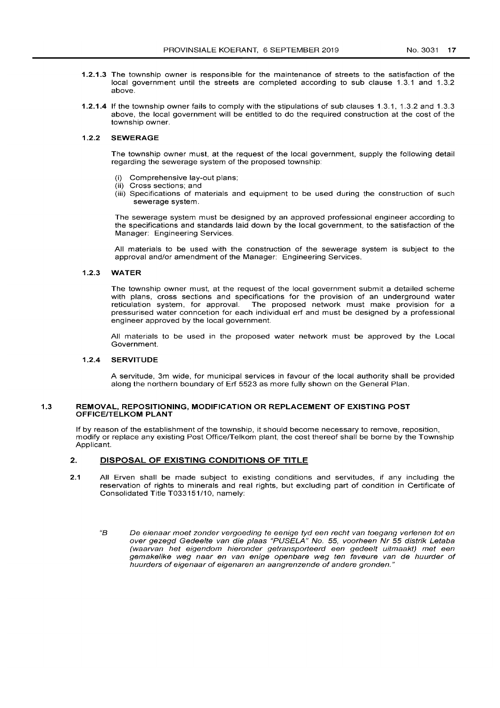- 1.2.1.3 The township owner is responsible for the maintenance of streets to the satisfaction of the local government until the streets are completed according to sub clause 1.3.1 and 1.3.2 above.
- 1.2.1.4 If the township owner fails to comply with the stipulations of sub clauses 1.3.1, 1.3.2 and 1.3.3 above, the local government will be entitled to do the required construction at the cost of the township owner.

#### 1.2.2 **SEWERAGE**

The township owner must, at the request of the local government, supply the following detail regarding the sewerage system of the proposed township:

- (i) Comprehensive lay-out plans;
- (ii) Cross sections; and
- (iii) Specifications of materials and equipment to be used during the construction of such sewerage system.

The sewerage system must be designed by an approved professional engineer according to the specifications and standards laid down by the local government, to the satisfaction of the Manager: Engineering Services.

All materials to be used with the construction of the sewerage system is subject to the approval and/or amendment of the Manager: Engineering Services.

#### 1.2.3 **WATER**

The township owner must, at the request of the local government submit a detailed scheme with plans, cross sections and specifications for the provision of an underground water<br>reticulation system, for approval. The proposed network must make provision for a The proposed network must make provision for a pressurised water conncetion for each individual erf and must be designed by a professional engineer approved by the local government.

All materials to be used in the proposed water network must be approved by the Local Government.

#### 1.2.4 **SERVITUDE**

A servitude, 3m wide, for municipal services in favour of the local authority shall be provided along the northern boundary of Erf 5523 as more fully shown on the General Plan.

#### 1.3 **REMOVAL, REPOSITIONING, MODIFICATION OR REPLACEMENT OF EXISTING** POST **OFFICEITELKOM PLANT**

If by reason of the establishment of the township, it should become necessary to remove, reposition, modify or replace any existing Post Office/Telkom plant, the cost thereof shall be borne by the Township Applicant.

#### **2. DISPOSAL OF EXISTING CONDITIONS OF TITLE**

- 2.1 All Erven shall be made subject to existing conditions and servitudes, if any including the reservation of rights to minerals and real rights, but excluding part of condition in Certificate of Consolidated Title T033151/10, namely:
	- "8 De eienaar moet zander vergoeding te eenige tyd een recht van toegang verlenen tot en over gezegd Gedee/te van die plaas "PUSELA" No. 55, voorheen Nr 55 distrik Letaba (waarvan het eigendom hieronder getransporteerd een gedee/t uitmaakt) met een gemakelike weg naar en van enige openbare weg ten faveure van de huurder of huurders of eigenaar of eigenaren an aangrenzende of andere gronden. "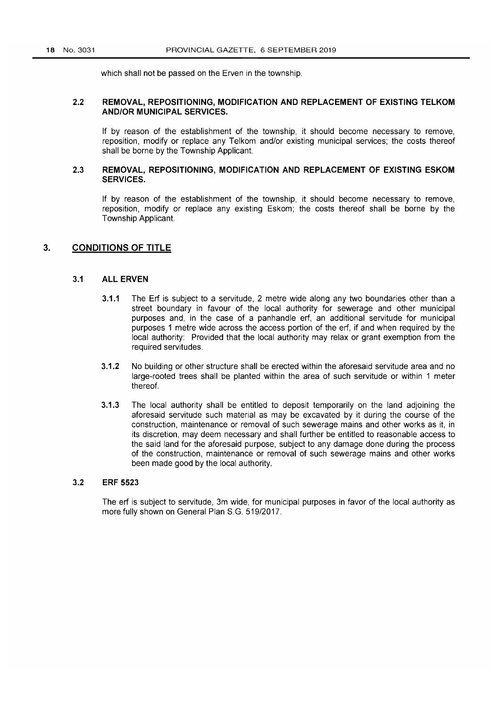which shall not be passed on the Erven in the township.

### **2.2 REMOVAL, REPOSITIONING, MODIFICATION AND REPLACEMENT OF EXISTING TELKOM ANDIOR MUNICIPAL SERVICES.**

If by reason of the establishment of the township, it should become necessary to remove, reposition, modify or replace any Telkom and/or existing municipal services; the costs thereof shall be borne by the Township Applicant.

### **2.3 REMOVAL, REPOSITIONING, MODIFICATION AND REPLACEMENT OF EXISTING ESKOM SERVICES.**

If by reason of the establishment of the township, it should become necessary to remove, reposition, modify or replace any existing Eskom; the costs thereof shall be borne by the Township Applicant.

### **3. CONDITIONS OF TITLE**

### **3.1 ALL ERVEN**

- **3.1.1** The Erf is subject to a servitude, 2 metre wide along any two boundaries other than a street boundary in favour of the local authority for sewerage and other municipal purposes and, in the case of a panhandle erf, an additional servitude for municipal purposes 1 metre wide across the access portion of the erf, if and when required by the local authority: Provided that the local authority may relax or grant exemption from the required servitudes.
- **3.1.2** No building or other structure shall be erected within the aforesaid servitude area and no large-rooted trees shall be planted within the area of such servitude or within 1 meter thereof.
- **3.1.3** The local authority shall be entitled to deposit temporarily on the land adjoining the aforesaid servitude such material as may be excavated by it during the course of the construction, maintenance or removal of such sewerage mains and other works as it, in its discretion, may deem necessary and shall further be entitled to reasonable access to the said land for the aforesaid purpose, subject to any damage done during the process of the construction, maintenance or removal of such sewerage mains and other works been made good by the local authority.

### **3.2 ERF 5523**

The erf is subject to servitude, 3m wide, for municipal purposes in favor of the local authority as more fully shown on General Plan S.G. 519/2017.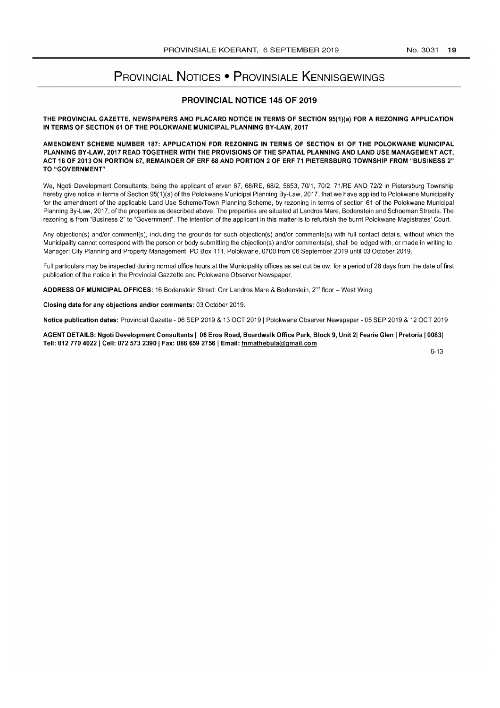# PROVINCIAL NOTICES • PROVINSIALE KENNISGEWINGS

### PROVINCIAL NOTICE 145 **OF** 2019

THE PROVINCIAL GAZETTE, NEWSPAPERS AND PLACARD NOTICE IN TERMS OF SECTION 95(1)(a) FOR A REZONING APPLICATION IN TERMS OF SECTION 61 OF THE POLOKWANE MUNICIPAL PLANNING BY-LAW, 2017

AMENDMENT SCHEME NUMBER 187: APPLICATION FOR REZONING IN TERMS OF SECTION 61 OF THE POLOKWANE MUNICIPAL PLANNING BY-LAW, 2017 READ TOGETHER WITH THE PROVISIONS OF THE SPATIAL PLANNING AND LAND USE MANAGEMENT ACT, ACT 16 OF 2013 ON PORTION 67, REMAINDER OF ERF 68 AND PORTION 2 OF ERF 71 PIETERSBURG TOWNSHIP FROM "BUSINESS 2" TO "GOVERNMENT"

We, Ngoti Development Consultants, being the applicant of erven 67, 68/RE, 68/2, 5653, 70/1, 70/2, 71/RE AND 72/2 in Pietersburg Township hereby give notice in terms of Section 95(1 )(a) of the Polokwane Municipal Planning By-Law, 2017, that we have applied to Polokwane Municipality for the amendment of the applicable Land Use Scheme/Town Planning Scheme, by rezoning in terms of section 61 of the Polokwane Municipal Planning By-Law, 2017, of the properties as described above. The properties are situated at Landros Mare, Bodenstein and Schoeman Streets. The rezoning is from "Business 2" to "Government'. The intention of the applicant in this matter is to refurbish the burnt Polokwane Magistrates' Court.

Any objection(s) and/or comment(s), including the grounds for such objection(s) and/or comments(s) with full contact details, without which the Municipality cannot correspond with the person or body submitting the objection(s) and/or comments(s), shall be lodged with, or made in writing to: Manager: City Planning and Property Management, PO Box 111, Polokwane, 0700 from 06 September 2019 until 03 October 2019.

Full particulars may be inspected during normal office hours at the Municipality offices as set out below, for a period of 28 days from the date of first publication of the notice in the Provincial Gazzette and Polokwane Observer Newspaper.

ADDRESS OF MUNICIPAL OFFICES: 16 Bodenstein Street: Cnr Landros Mare & Bodenstein, 2<sup>nd</sup> floor - West Wing.

Closing date for any objections and/or comments: 03 October 2019.

Notice publication dates: Provincial Gazelle - 06 SEP 2019 & 13 OCT 2019 1 Polokwane Observer Newspaper - 05 SEP 2019 & 12 OCT 2019

AGENT DETAILS: Ngoti Development Consultants | 06 Eros Road, Boardwalk Office Park, Block 9, Unit 2| Fearie Glen | Pretoria | 0083| Tell: 012 770 4022 | Cell: 072 573 2390 | Fax: 086 659 2756 | Email: fnmathebula@gmail.com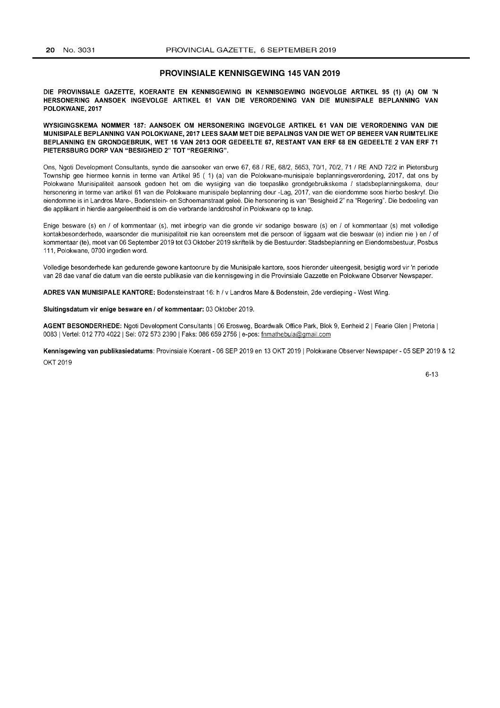### PROVINSIALE KENNISGEWING 145 VAN 2019

DIE PROVINSIALE GAZETTE, KOERANTE EN KENNISGEWING IN KENNISGEWING INGEVOLGE ARTIKEL 95 (1) (A) OM 'N HERSONERING AANSOEK INGEVOLGE ARTIKEL 61 VAN DIE VERORDENING VAN DIE MUNISIPALE BEPLANNING VAN POLOKWANE,2017

WYSIGINGSKEMA NOMMER 187: AANSOEK OM HERSONERING INGEVOLGE ARTIKEL 61 VAN DIE VERORDENING VAN DIE MUNISIPALE BEPLANNING VAN POLOKWANE, 2017 LEES SAAM MET DIE BEPALINGS VAN DIE WET OP BEHEER VAN RUIMTELIKE BEPLANNING EN GRONDGEBRUIK, WET 16 VAN 2013 OOR GEDEELTE 67, RESTANT VAN ERF 68 EN GEDEELTE 2 VAN ERF 71 PIETERSBURG DORP VAN "BESIGHEID 2" TOT "REGERING".

Ons, Ngoti Development Consultants, synde die aansoeker van erwe 67, 68 / RE, 68/2, 5653, 70/1, 70/2, 71 / RE AND 72/2 in Pietersburg Township gee hiermee kennis in terme van Artikel 95 ( 1) (a) van die Polokwane-munisipale beplanningsverordening, 2017, dat ons by Polokwane Munisipaliteit aansoek gedoen het om die wysiging van die toepaslike grondgebruikskema / stadsbeplanningskema, deur hersonering in terme van arlikel 61 van die Polokwane munisipale beplanning deur -Lag, 2017, van die eiendomme soos hierbo beskryf. Die eiendomme is in Landros Mare-, Bodenstein- en Schoemanstraat geleë. Die hersonering is van "Besigheid 2" na "Regering". Die bedoeling van die applikant in hierdie aangeleentheid is om die verbrande landdroshof in Polokwane op te knap.

Enige besware (s) en / of kommentaar (s), met inbegrip van die gronde vir sodanige besware (s) en / of kommentaar (s) met volledige kontakbesonderhede, waarsonder die munisipaliteit nie kan ooreenstem met die persoon of liggaam wat die beswaar (e) indien nie ) en / of kommentaar (te), moet van 06 September 2019 tot 03 Oktober 2019 skriftelik by die Bestuurder: Stadsbeplanning en Eiendomsbestuur, Posbus 111, Polokwane, 0700 ingedien word.

Volledige besonderhede kan gedurende gewone kantoorure by die Munisipale kantore, soos hieronder uiteengesit, besigtig word vir 'n periode van 28 dae vanaf die datum van die eerste publikasie van die kennisgewing in die Provinsiale Gazzetle en Polokwane Observer Newspaper.

ADRES VAN MUNISIPALE KANTORE: Bodensteinstraat 16: h / v Landros Mare & Bodenstein, 2de verdieping - West Wing.

#### Sluitingsdatum vir enige besware en 1 of kommentaar: 03 Oktober 2019.

AGENT BESONDERHEDE: Ngoti Development Consultants | 06 Erosweg, Boardwalk Office Park, Blok 9, Eenheid 2 | Fearie Glen | Pretoria | 0083 | Vertel: 012 770 4022 | Sel: 072 573 2390 | Faks: 086 659 2756 | e-pos: fnmathebula@gmail.com

Kennisgewing van publikasiedatums: Provinsiale Koerant - 06 SEP 2019 en 13 OKT 2019 | Polokwane Observer Newspaper - 05 SEP 2019 & 12 OKT 2019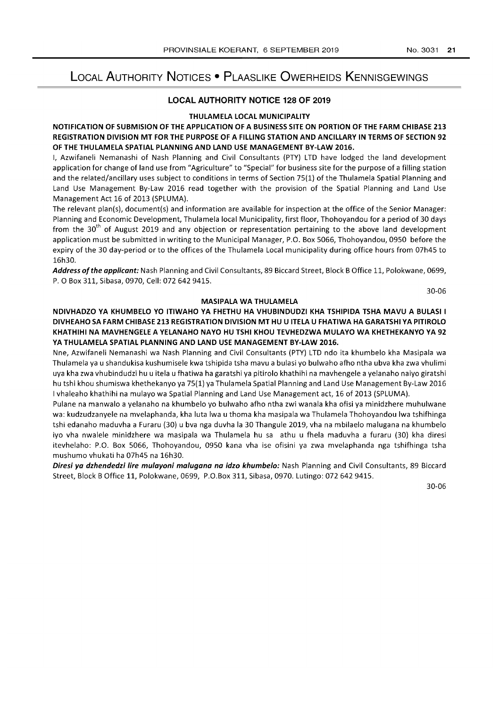# LOCAL AUTHORITY NOTICES • PLAASLIKE OWERHEIDS KENNISGEWINGS

### LOCAL AUTHORITY NOTICE 128 OF 2019

#### THULAMELA LOCAL MUNICIPALITY

### NOTIFICATION OF SUBMISION OF THE APPLICATION OF A BUSINESS SITE ON PORTION OF THE FARM CHIBASE 213 REGISTRATION DIVISION MT FOR THE PURPOSE OF A FILLING STATION AND ANCILLARY IN TERMS OF SECTION 92 OF THE THULAMELA SPATIAL PLANNING AND LAND USE MANAGEMENT BY-LAW 2016.

I, Azwifaneli Nemanashi of Nash Planning and Civil Consultants (PTY) LTD have lodged the land development application for change of land use from "Agriculture" to "Special" for business site for the purpose of a filling station and the related/ancillary uses subject to conditions in terms of Section 75(1) of the Thulamela Spatial Planning and Land Use Management By-Law 2016 read together with the provision of the Spatial Planning and Land Use Management Act 16 of 2013 (SPLUMA).

The relevant plan(s), document(s) and information are available for inspection at the office of the Senior Manager: Planning and Economic Development, Thulamela local Municipality, first floor, Thohoyandou for a period of 30 days from the  $30<sup>th</sup>$  of August 2019 and any objection or representation pertaining to the above land development application must be submitted in writing to the Municipal Manager, P.O. Box 5066, Thohoyandou, 0950 before the expiry of the 30 day-period or to the offices of the Thulamela Local municipality during office hours from 07h45 to 16h30.

Address of the applicant: Nash Planning and Civil Consultants, 89 Biccard Street, Block B Office 11, Polokwane, 0699, P. 0 Box 311, Sibasa, 0970, Cell: 072 642 9415.

30-06

#### MASIPALA WA THULAMELA

NDIVHADZO YA KHUMBELO YO ITIWAHO YA FHETHU HA VHUBINDUDZI KHA TSHIPIDA TSHA MAVU A BULASII DIVHEAHO SA FARM CHIBASE 213 REGISTRATION DIVISION MT HU U ITELA U FHATIWA HA GARATSHI YA PITIROLO KHATHIHI NA MAVHENGELE A YELANAHO NAYO HU TSHI KHOU TEVHEDZWA MULAYO WA KHETHEKANYO YA 92 YA THULAMELA SPATIAL PLANNING AND LAND USE MANAGEMENT BY-LAW 2016.

Nne, Azwifaneli Nemanashi wa Nash Planning and Civil Consultants (PTY) LTD ndo ita khumbelo kha Masipala wa Thulamela ya u shandukisa kushumisele kwa tshipida tsha mavu a bulasi yo bulwaho afho ntha ubva kha zwa vhulimi uya kha zwa vhubindudzi hu u itela u fhatiwa ha garatshi ya pitirolo khathihi na mavhengele a yelanaho naiyo giratshi hu tshi khou shumiswa khethekanyo ya 75(1) ya Thulamela Spatial Planning and Land Use Management By-Law 2016 I vhaleaho khathihi na mulayo wa Spatial Planning and Land Use Management act, 16 of 2013 (SPLUMA).

Pulane na manwalo a yelanaho na khumbelo yo bulwaho afho ntha zwi wanala kha ofisi ya minidzhere muhulwane wa: kudzudzanyele na mvelaphanda, kha luta Iwa u thoma kha masipala wa Thulamela Thohoyandou Iwa tshifhinga tshi edanaho maduvha a Furaru (30) u bva nga duvha la 30 Thangule 2019, vha na mbilaelo malugana na khumbelo iyo vha nwalele minidzhere wa masipala wa Thulamela hu sa athu u fhela maduvha a furaru (30) kha diresi itevhelaho: P.O. Box 5066, Thohoyandou, 0950 kana vha ise ofisini ya zwa mvelaphanda nga tshifhinga tsha mushumo vhukati ha 07h45 na 16h30.

Diresi ya dzhendedzi lire mulayoni malugana na idzo khumbelo: Nash Planning and Civil Consultants, 89 Biccard Street, Block B Office 11, Polokwane, 0699, P.O.Box 311, Sibasa, 0970. Lutingo: 072 642 9415.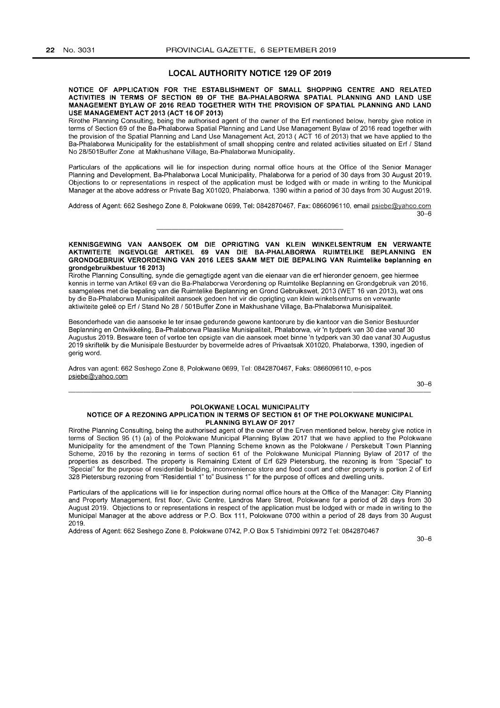### LOCAL AUTHORITY NOTICE 129 OF 2019

NOTICE OF APPLICATION FOR THE ESTABLISHMENT OF SMALL SHOPPING CENTRE AND RELATED ACTIVITIES IN TERMS OF SECTION 69 OF THE BA-PHALABORWA SPATIAL PLANNING AND LAND USE MANAGEMENT BYLAW OF 2016 READ TOGETHER WITH THE PROVISION OF SPATIAL PLANNING AND LAND USE MANAGEMENT ACT 2013 (ACT 16 OF 2013)

Rirothe Planning Consulting, being the authorised agent of the owner of the Erf mentioned below, hereby give notice in terms of Section 69 of the Ba-Phalaborwa Spatial Planning and Land Use Management Bylaw of 2016 read together with the provision of the Spatial Planning and Land Use Management Act, 2013 ( ACT 16 of 2013) that we have applied to the Ba-Phalaborwa Municipality for the establishment of small shopping centre and related activities situated on Erf / Stand No 28/501 Buffer Zone at Makhushane Village, Ba-Phalaborwa Municipality.

Particulars of the applications will lie for inspection during normal office hours at the Office of the Senior Manager Planning and Development, Ba-Phalaborwa Local Municipality, Phalaborwa for a period of 30 days from 30 August 2019. Objections to or representations in respect of the application must be lodged with or made in writing to the Municipal Manager at the above address or Private Bag X01 020, Phalaborwa, 1390 within a period of 30 days from 30 August 2019.

Address of Agent: 662 Seshego Zone 8, Polokwane 0699, Tel: 0842870467, Fax: 0866096110, email psiebe@yahoo.com 30-6

#### KENNISGEWING VAN AANSOEK OM DIE OPRIGTING VAN KLEIN WINKELSENTRUM EN VERWANTE AKTIWITEITE INGEVOLGE ARTIKEL 69 VAN DIE BA-PHALABORWA RUIMTELIKE BEPLANNING EN GRONDGEBRUIK VERORDENING VAN 2016 LEES SAAM MET DIE BEPALING VAN Ruimtelike beplanning en grondgebruikbestuur 16 2013)

Rirothe Planning Consulting, synde die gemagtigde agent van die eienaar van die erf hieronder genoem, gee hiermee kennis in terme van Artikel 69 van die Ba-Phalaborwa Verordening op Ruimtelike Beplanning en Grondgebruik van 2016, saamgelees met die bepaling van die Ruimtelike Beplanning en Grond Gebruikswet, 2013 (WET 16 van 2013), wat ons by die Ba-Phalaborwa Munisipaliteit aansoek gedoen het vir die oprigting van klein winkelsentrums en verwante aktiwiteite gelee op Erf / Stand No 28 / 501 Buffer Zone in Makhushane Village, Ba-Phalaborwa Munisipaliteit.

Besonderhede van die aansoeke Ie ter insae gedurende gewone kantoorure by die kantoor van die Senior Bestuurder Beplanning en Ontwikkeling, Ba-Phalaborwa Plaaslike Munisipaliteit, Phalaborwa, vir 'n tydperk van 30 dae vanaf 30 Augustus 2019. Besware teen of vertoe ten opsigte van die aansoek moet binne 'n tydperk van 30 dae vanaf 30 Augustus 2019 skriftelik by die Munisipale Bestuurder by bovermelde adres of Privaatsak X01020, Phalaborwa, 1390, ingedien of gerig word.

Adres van agent: 662 Seshego Zone 8, Polokwane 0699, Tel: 0842870467, Faks: 0866096110, e-pos psiebe@yahoo.com

30-6

#### POLOKWANE LOCAL MUNICIPALITY NOTICE OF A REZONING APPLICATION IN TERMS OF SECTION 61 OF THE POLOKWANE MUNICIPAL PLANNING BYLAW OF 2017

Rirothe Planning Consulting, being the authorised agent of the owner of the Erven mentioned below, hereby give notice in terms of Section 95 (1) (a) of the Polokwane Municipal Planning Bylaw 2017 that we have applied to the Polokwane Municipality for the amendment of the Town Planning Scheme known as the Polokwane / Perskebult Town Planning Scheme, 2016 by the rezoning in terms of section 61 of the Polokwane Municipal Planning Bylaw of 2017 of the properties as described. The property is Remaining Extent of Erf 629 Pietersburg, the rezoning is from "Special" to "Special" for the purpose of residential building, inconvenience store and food court and other property is portion 2 of Erf 328 Pietersburg rezoning from "Residential 1" to" Business 1" for the purpose of offices and dwelling units.

Particulars of the applications will lie for inspection during normal office hours at the Office of the Manager: City Planning and Property Management, first floor, Civic Centre, Landros Mare Street, Polokwane for a period of 28 days from 30 August 2019. Objections to or representations in respect of the application must be lodged with or made in writing to the Municipal Manager at the above address or P.O. Box 111, Polokwane 0700 within a period of 28 days from 30 August 2019.

Address of Agent: 662 Seshego Zone 8, Polokwane 0742, P.O Box 5 Tshidimbini 0972 Tel: 0842870467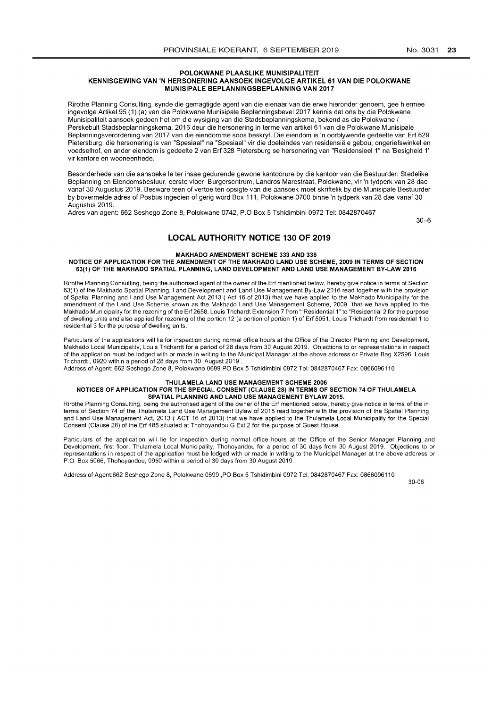#### POLOKWANE PLAASLIKE MUNISIPALITEIT KENNISGEWING VAN 'N HERSONERING AANSOEK INGEVOLGE ARTIKEL 61 VAN DIE POLOKWANE MUNISIPALE BEPLANNINGSBEPLANNING VAN 2017

Rirothe Planning Consulting, synde die gemagtigde agent van die eienaar van die erwe hieronder genoem, gee hiermee ingevolge Artikel 95 (1) (a) van die Polokwane Munisipale Beplanningsbevel 2017 kennis dat ons by die Polokwane Munisipaliteit aansoek gedoen het om die wysiging van die Stadsbeplanningskema, bekend as die Polokwane / Perskebult Stadsbeplanningskema, 2016 deur die hersonering in terme van artikel 61 van die Polokwane Munisipale Beplanningsverordening van 2017 van die eiendomme soos beskryf. Die eiendom is 'n oorblywende gedeelte van Erf 629 Pietersburg, die hersonering is van "Spesiaal" na "Spesiaal" vir die doeleindes van residensiële gebou, ongeriefswinkel en voedselhof, en ander eiendom is gedeelte 2 van Erf 328 Pietersburg se hersonering van "ResidensieeI1" na 'Besigheid l' vir kantore en wooneenhede.

Besonderhede van die aansoeke Ie ter insae gedurende gewone kantoorure by die kantoor van die Bestuurder: Stedelike Beplanning en Eiendomsbestuur, eerste vloer, Burgersentrum, Landros Marestraat, Polokwane, vir 'n tydperk van 28 dae vanaf 30 Augustus 2019. Besware teen of vertoe ten opsigte van die aansoek moet skriftelik by die Munisipale Bestuurder by bovermelde adres of Posbus ingedien of gerig word Box 111, Polokwane 0700 binne 'n tydperk van 28 dae vanaf 30 Augustus 2019.

Adres van agent: 662 Seshego Zone 8, Polokwane 0742, P.O Box 5 Tshidimbini 0972 Tel: 0842870467

30-6

### **LOCAL AUTHORITY NOTICE** 130 **OF** 2019

#### MAKHADO AMENDMENT SCHEME 333 AND 336

NOTICE OF APPLICATION FOR THE AMENDMENT OF THE MAKHADO LAND USE SCHEME, 2009 IN TERMS OF SECTION 63(1) OF THE MAKHADO SPATIAL PLANNING, LAND DEVELOPMENT AND LAND USE MANAGEMENT BY-LAW 2016

Rirothe Planning Consulting, being the authorised agent of the owner of the Erf mentioned below, hereby give notice in terms of Section 63(1) of the Makhado Spatial Planning, Land Development and Land Use Management By-Law 2016 read together with the provision of Spatial Planning and Land Use Management Act 2013 (Act 16 of 2013) that we have applied to the Makhado Municipality for the amendment of the Land Use Scheme known as the Makhado Land Use Management Scheme, 2009 that we have applied to the Makhado Municipality for the rezoning of the Erf 2658, Louis Trichardt Extension 7 from ""Residential 1" to "Residential 2 for the purpose of dwelling units and also applied for rezoning of the portion 12 (a portion of portion 1) of Erf 5051, Louis Trichardt from residential 1 to residential 3 for the purpose of dwelling units.

Particulars of the applications will lie for inspection during normal office hours at the Office of the Director Planning and Development, Makhado Local Municipality, Louis Trichardt for a period of 28 days from 30 August 2019. Objections to or representations in respect of the application must be lodged with or made in writing to the Municipal Manager at the above address or Private Bag X2596, Louis Trichardt, 0920 within a period of 28 days from 30 August 2019.

Address of Agent: 662 Seshego Zone 8, Polokwane 0699 PO Box 5 Tshidimbini 0972 Tel: 0842870467 Fax: 0866096110

## THULAMELA LAND USE MANAGEMENT SCHEME 2006

#### NOTICES OF APPLICATION FOR THE SPECIAL CONSENT (CLAUSE 28) IN TERMS OF SECTION 74 OF THULAMELA SPATIAL PLANNING AND LAND USE MANAGEMENT BYLAW 2015.

Rirothe Planning Consulting, being the authorised agent of the owner of the Erf mentioned below, hereby give notice in terms of the in terms of Section 74 of the Thulamela Land Use Management Bylaw of 2015 read together with the provision of the Spatial Planning and Land Use Management Act, 2013 ( ACT 16 of 2013) that we have applied to the Thulamela Local Municipality for the Special Consent (Clause 28) of the Erf 485 situated at Thohoyandou G Ext 2 for the purpose of Guest House.

Particulars of the application will lie for inspection during normal office hours at the Office of the Senior Manager Planning and Development, first floor, Thulamela Local Municipality, Thohoyandou for a period of 30 days from 30 August 2019. Objections to or representations in respect of the application must be lodged with or made in writing to the Municipal Manager at the above address or P.O. Box 5066, Thohoyandou, 0950 within a period of 30 days from 30 August 2019.

Address of Agent:662 Seshego Zone 8, Polokwane 0699 ,PO Box 5 Tshidimbini 0972 Tel: 0842870467 Fax: 0866096110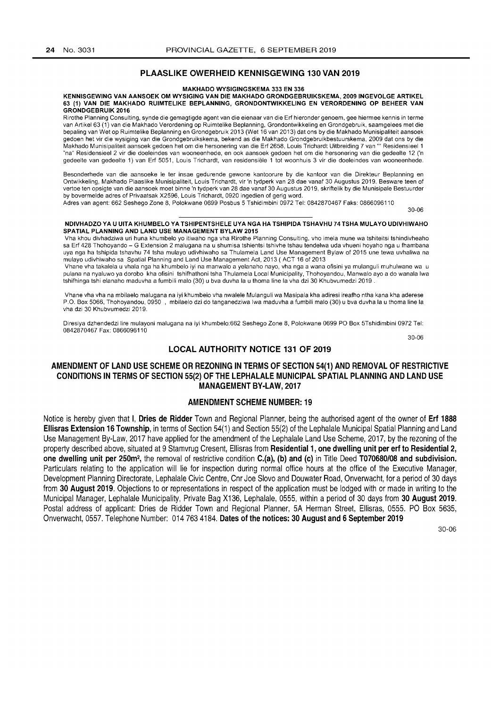#### PLAASLIKE OWERHEID KENNISGEWING 130 VAN 2019

#### MAKHADO WYSIGINGSKEMA 333 EN 336

#### KENNISGEWING VAN AANSOEK OM WYSIGING VAN DIE MAKHADO GRONDGEBRUIKSKEMA, 2009 INGEVOLGE ARTIKEL 63 (1) VAN DIE MAKHADO RUIMTELIKE BEPLANNING, GRONDONTWIKKELING EN VERORDENING OP BEHEER VAN GRONDGEBRUIK 2016

Rirothe Planning Consulting, synde die gemagtigde agent van die eienaar van die Erf hieronder genoem, gee hiermee kennis in terme van Artikel 63 (1) van die Makhado Verordening op Ruimtelike Beplanning, Grondontwikkeling en Grondgebruik, saamgelees met die bepaling van Wet op Ruimtelike Beplanning en Grondgebruik 2013 (Wet 16 van 2013) dat ons by die Makhado Munisipaliteit aansoek gedoen het vir die wysiging van die Grondgebruikskema, bekend as die Makhado Grondgebruikbestuurskema, 2009 dat ons by die Makhado Munisipaliteit aansoek gedoen het om die hersonering van die Erf 2658, Louis Trichardt Uitbreiding 7 van "" Residensieel 1 "na" Residensieel 2 vir die doeleindes van wooneenhede, en ook aansoek gedoen het om die hersonering van die gedeelte 12 Cn gedeelte van gedeelte 1) van Erf 5051, Louis Trichardt, van residensiele 1 tot woonhuis 3 vir die doeleindes van wooneenhede.

Besonderhede van die aansoeke Ie ter insae gedurende gewone kantoorure by die kantoor van die Direkteur Beplanning en Ontwikkeling, Makhado Plaaslike Munisipaliteit, Louis Trichardt, vir 'n tydperk van 28 dae vanaf 30 Augustus 2019. Besware teen of vertoe ten opsigte van die aansoek moet binne 'n tydperk van 28 dae vanaf 30 Augustus 2019, skriftelik by die Munisipale Bestuurder by bovermelde adres of Privaatsak X2596, Louis Trichardt, 0920 ingedien of gerig word.

Adres van agent: 662 Seshego Zone 8, Polokwane 0699 Posbus 5 Tshidimbini 0972 Tel: 0842870467 Faks: 0866096110

30-06

#### NDIVHADZO YA U UITA KHUMBELO YA TSHIPENTSHELE UYA NGA HA TSHIPIDA TSHAVHU 74 TSHA MULAYO UDIVHIWAHO SPATIAL PLANNING AND LAND USE MANAGEMENT BYLAW 2015

Vha khou divhadziwa uri huna khumbelo yo itiwaho nga vha Rirothe Planning Consulting, vho imela mune wa tshiteitsi tshindivheaho sa Erf 428 Thohoyando – G Extension 2 malugana na u shumisa tshientsi tshivhe tshau tendelwa uda vhueni hoyaho nga u fhambana uya nga ha tshipida tshavhu 74 tsha mulayo udivhiwaho sa Thulamela Land Use Management Bylaw of 2015 une tewa uvhaliwa na mulayo udivhiwaho sa Spatial Planning and Land Use Management Act, 2013 ( ACT 16 of 2013

Vhane vha takalela u vhala nga ha khumbelo iyi na manwalo a yelanaho nayo, vha nga a wana ofisini ya mulanguli muhulwane wa u pulana na nyaluwo ya dorobo kha ofisini tshifhathoni tsha Thulamela Local Municipality, Thohoyandou, Manwalo ayo a do wanala Iwa tshifhinga tshi elanaho maduvha a fumbili malo (30) u bva duvha la u thoma line la vha dzi 30 Khubvumedzi 2019 .

Vhane vha vha na mbilaelo malugana na iyi khumbeio vha nwalele Mulanguli wa Masipala kha adiresi ireafho ntha kana kha aderese P.O. Box 5066, Thohoyandou, 0950 , mbilaelo dzi do tanganedziwa Iwa maduvha a fumbili malo (30) u bva duvha la u thoma line la vha dzi 30 Khubvumedzi 2019.

Diresiya dzhendedzi lire mulayoni malugana na iyi khumbelo:662 Seshego Zone 8, Polokwane 0699 PO Box 5Tshidimbini 0972 Tel: 0842870467 Fax: 0866096110

30-06

### LOCAL AUTHORITY NOTICE 131 OF 2019

### AMENDMENT OF LAND USE SCHEME OR REZONING IN TERMS OF SECTION 54(1) AND REMOVAL OF RESTRICTIVE CONDITIONS IN TERMS OF SECTION 55(2) OF THE LEPHALALE MUNICIPAL SPATIAL PLANNING AND LAND USE MANAGEMENT BY-LAW, 2017

### AMENDMENT SCHEME NUMBER: 19

Notice is hereby given that I, Dries de Ridder Town and Regional Planner, being the authorised agent of the owner of Erf 1888 Ellisras Extension 16 Township, in terms of Section 54(1) and Section 55(2) of the Lephalale Municipal Spatial Planning and Land Use Management By-Law, 2017 have applied for the amendment of the Lephalale Land Use Scheme, 2017, by the rezoning of the property described above, situated at 9 Stamvrug Cresent, Ellisras from Residential 1 , one dwelling unit per erf to Residential 2, one dwelling unit per 250m2, the removal of restrictive condition C.(a), (b) and (c) in Title Deed T070680/08 and subdivision. Particulars relating to the application will lie for inspection during normal office hours at the office of the Executive Manager, Development Planning Directorate, Lephalale Civic Centre, Cnr Joe Siovo and Douwater Road, Onverwacht, for a period of 30 days from 30 August 2019. Objections to or representations in respect of the application must be lodged with or made in writing to the Municipal Manager, Lephalale Municipality, Private Bag X136, Lephalale, 0555, within a period of 30 days from 30 August 2019. Postal address of applicant: Dries de Ridder Town and Regional Planner, 5A Herman Street, Ellisras, 0555. PO Box 5635, Onverwacht, 0557. Telephone Number: 014 763 4184. Dates of the notices: 30 August and 6 September 2019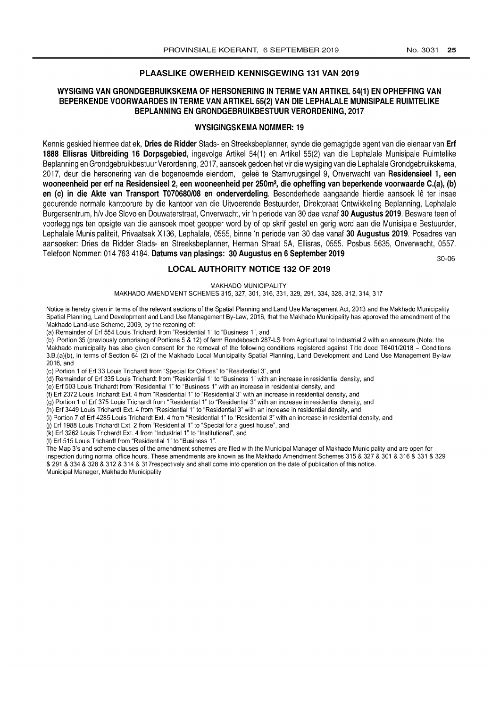### **PLAASLIKE OWERHEID KENNISGEWING 131 VAN 2019**

### **WYSIGING VAN GRONDGEBRUIKSKEMA OF HERSONERING IN TERME VAN ARTIKEL 54(1) EN OPHEFFING VAN BEPERKENDE VOORWAARDES IN TERME VAN ARTIKEL 55(2) VAN DIE LEPHALALE MUNISIPALE RUIMTELIKE BEPLANNING EN GRONDGEBRUIKBESTUUR VERORDENING, 2017**

#### **WYSIGINGSKEMA NOMMER: 19**

Kennis geskied hiermee dat ek, **Dries de Ridder** Stads- en Streeksbeplanner, synde die gemagtigde agent van die eienaar van **Erf 1888 Ellisras Uitbreiding 16 Dorpsgebied,** ingevolge Artikel 54(1) en Artikel 55(2) van die Lephalale Munisipale Ruimtelike Beplanning en Grondgebruikbestuur Verordening, 2017, aansoek gedoen het vir die wysiging van die Lephalale Grondgebruikskema, 2017, deur die hersonering van die bogenoemde eiendom, gelee te Stamvrugsingel 9, Onverwacht van **Residensieel 1, een wooneenheid per erf na Residensieel 2, een wooneenheid per 250m2, die opheffing van beperkende voorwaarde C.(a), (b) en (c) in die Akte van Transport T070680/08 en onderverdeling.** Besonderhede aangaande hierdie aansoek Ie ter insae gedurende normale kantoorure by die kantoor van die Uitvoerende Bestuurder, Direktoraat Ontwikkeling Beplanning, Lephalale Burgersentrum, h/v Joe Siovo en Douwaterstraat, Onverwacht, vir 'n periode van 30 dae vanaf **30 Augustus 2019.** Besware teen of voorleggings ten opsigte van die aansoek moet geopper word by of op skrif gestel en gerig word aan die Munisipale Bestuurder, Lephalale Munisipaliteit, Privaatsak X136, Lephalale, 0555, binne 'n periode van 30 dae vanaf **30 Augustus 2019.** Posadres van aansoeker: Dries de Ridder Stads- en Streeksbeplanner, Herman Straat 5A, Ellisras, 0555. Posbus 5635, Onverwacht, 0557. Telefoon Nommer: 014 763 4184. **Datums van plasings: 30 Augustus en 6 September 2019** 

### **LOCAL AUTHORITY NOTICE 132 OF 2019**

#### MAKHADO MUNICIPALITY

MAKHADO AMENDMENT SCHEMES 315,327,301,316,331,329,291,334,328,312,314,317

Notice is hereby given in terms of the relevant sections of the Spatial Planning and Land Use Management Act, 2013 and the Makhado Municipality Spatial Planning, Land Development and Land Use Management By-Law, 2016, that the Makhado Municipality has approved the amendment of the Makhado Land-use Scheme, 2009, by the rezoning of:

(a) Remainder of Erf 554 Louis Trichardt from "Residential 1" to "Business 1", and

(b) Portion 35 (previously comprising of Portions 5 & 12) of farm Rondebosch 287-LS from Agricultural to Industrial 2 with an annexure (Note: the Makhado municipality has also given consent for the removal of the following conditions registered against Title deed T6401/2018 – Conditions 3.B.(a)(b), in terms of Section 64 (2) of the Makhado Local Municipality Spatial Planning, Land Development and Land Use Management By-law 2016, and

(c) Portion 1 of Erf 33 Louis Trichardt from "Special for Offices" to "Residential 3", and

(d) Remainder of Erf 335 Louis Trichardt from "Residential 1" to "Business 1" with an increase in residential density, and

(e) Erf 503 Louis Trichardt from "Residential 1" to "Business 1" with an increase in residential density, and

(f) Erf 2372 Louis Trichardt Ext. 4 from "Residential 1" to "Residential 3" with an increase in residential density, and

(g) Portion 1 of Erf 375 Louis Trichardt from "Residential 1" to "Residential 3" with an increase in residential density, and

(h) Erf 3449 Louis Trichardt Ext. 4 from "Residential 1" to "Residential 3" with an increase in residential density, and

(i) Portion 7 of Erf 4285 Louis Trichardt Ext. 4 from "Residential 1" to "Residential 3" with an increase in residential density, and

 $(i)$  Erf 1988 Louis Trichardt Ext. 2 from "Residential 1" to "Special for a quest house", and

(k) Erf 3262 Louis Trichardt Ext. 4 from "Industrial 1" to "Institutional", and

(I) Erf 515 Louis Trichardt from "Residential 1" to "Business 1".

The Map 3's and scheme clauses of the amendment schemes are filed with the Municipal Manager of Makhado Municipality and are open for inspection during normal office hours. These amendments are known as the Makhado Amendment Schemes 315 & 327 & 301 & 316 & 331 & 329 & 291 & 334 & 328 & 312 & 314 & 317respectively and shall come into operation on the date of publication of this notice. Municipal Manager, Makhado Municipality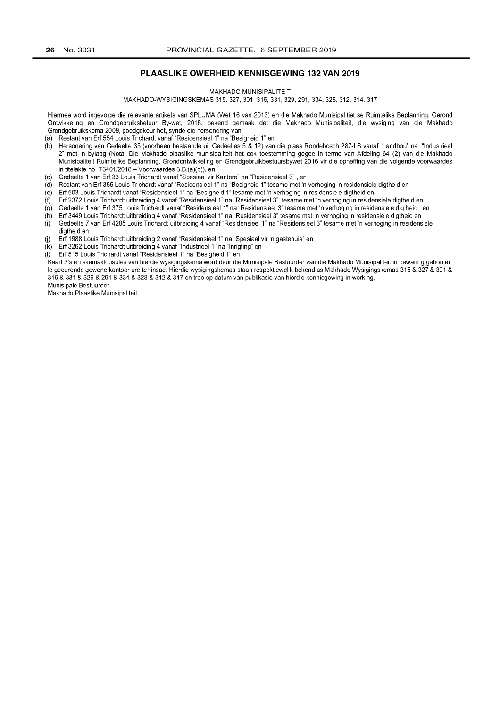## **PLAASLIKE OWERHEID KENNISGEWING 132 VAN 2019**

MAKHADO MUNISIPALITEIT

MAKHADO-WYSIGINGSKEMAS 315, 327, 301, 316, 331, 329, 291, 334, 328, 312, 314, 317

Hiermee word ingevolge die relevante artikels van SPLUMA (Wet 16 van 2013) en die Makhado Munisipalitiet se Ruimtelike Beplanning, Gerond Ontwikkeling en Grondgebruiksbetuur By-wet, 2016, bekend gemaak dat die Makhado Munisipaliteit, die wysiging van die Makhado Grondgebruikskema 2009, goedgekeur het, synde die hersonering van

(a) Restant van Erf 554 Louis Trichardt vanaf "Residensieel 1" na "Besigheid 1" en

- (b) Hersonering van Gedeelte 35 (voorheen bestaande uit Gedeeltes 5 & 12) van die plaas Rondebosch 287-LS vanaf "Landbou" na "Industrieel 2" met 'n bylaag (Nota: Die Makhado plaaslike munisipaliteit het ook toestemming gegee in terme van Afdeling 64 (2) van die Makhado Munisipaliteit Ruimtelike Beplanning, Grondontwikkeling en Grondgebruikbestuursbywet 2016 vir die opheffing van die volgende voorwaardes in titelakte no. T6401/2018 - Voorwaardes 3.B.(a)(b)), en
- (c) Gedeelte 1 van **Erf** 33 Louis Trichardt vanaf "Spesiaal vir Kantore" na "Residensieel 3" , en
- (d) Restant van Erf 355 Louis Trichardt vanaf "Residensieel 1" na "Besigheid 1" tesame met 'n verhoging in residensiele digtheid en
- (e) **Erf** 503 Louis Trichardt vanaf "Residensieel 1" na "Besigheid 1" tesame met 'n verhoging in residensiele digtheid en
- (I) **Erf** 2372 Louis Trichardt uitbreiding 4 vanaf "Residensieel 1" na "Residensieel 3" tesame met 'n verhoging in residensiele digtheid en
- (g) Gedeelte 1 van **Erf** 375 Louis Trichardt vanaf "Residensieel 1" na "Residensieel 3" tesame met 'n verhoging in residensiele digtheid , en
- (h) **Erf** 3449 Louis Trichardt uitbreiding 4 vanaf "Residensieel 1" na "Residensieel 3" tesame met 'n verhoging in residensiele digtheid en
- (i) Gedeelte 7 van **Erf** 4285 Louis Trichardt uitbreiding 4 vanaf "Residensieel 1" na "Residensieel 3" tesame met 'n verhoging in residensiele digtheid en
- (j) **Erf** 1988 Louis Trichardt uitbreiding 2 vanaf "Residensieel 1" na "Spesiaal vir 'n gastehuis" en
- (k) **Erf** 3262 Louis Trichardt uitbreiding 4 vanaf "Industrieel 1" na "Inrigting" en
- (I) **Erf** 515 Louis Trichardt vanaf "Residensieel 1" na "Besigheid 1" en

Kaart 3's en skemaklousules van hierdie wysigingskema word deur die Munisipale Bestuurder van die Makhado Munisipaliteit in bewaring gehou en Ie gedurende gewone kantoor ure ter insae. Hierdie wysigingskemas staan respektiewelik bekend as Makhado Wysigingskemas 315 & 327 & 301 & 316 & 331 & 329 & 291 & 334 & 328 & 312 & 317 en tree op datum van publikasie van hierdie kennisgewing in werking.

Munisipale Bestuurder

Makhado Plaaslike Munisipaliteit